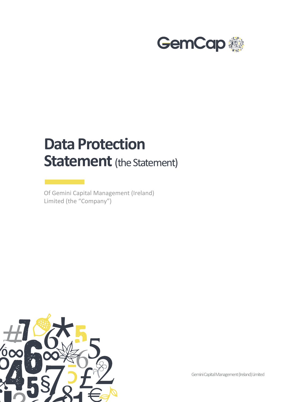

## **Data Protection Statement** (the Statement)

Of Gemini Capital Management (Ireland) Limited (the "Company")



Gemini Capital Management (Ireland) Limited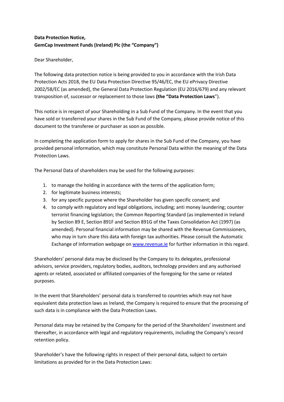## **Data Protection Notice, GemCap Investment Funds (Ireland) Plc (the "Company")**

## Dear Shareholder,

The following data protection notice is being provided to you in accordance with the Irish Data Protection Acts 2018, the EU Data Protection Directive 95/46/EC, the EU ePrivacy Directive 2002/58/EC (as amended), the General Data Protection Regulation (EU 2016/679) and any relevant transposition of, successor or replacement to those laws **(the "Data Protection Laws**").

This notice is in respect of your Shareholding in a Sub Fund of the Company. In the event that you have sold or transferred your shares in the Sub Fund of the Company, please provide notice of this document to the transferee or purchaser as soon as possible.

In completing the application form to apply for shares in the Sub Fund of the Company, you have provided personal information, which may constitute Personal Data within the meaning of the Data Protection Laws.

The Personal Data of shareholders may be used for the following purposes:

- 1. to manage the holding in accordance with the terms of the application form;
- 2. for legitimate business interests;
- 3. for any specific purpose where the Shareholder has given specific consent; and
- 4. to comply with regulatory and legal obligations, including; anti money laundering; counter terrorist financing legislation; the Common Reporting Standard (as implemented in Ireland by Section 89 E, Section 891F and Section 891G of the Taxes Consolidation Act (1997) (as amended). Personal financial information may be shared with the Revenue Commissioners, who may in turn share this data with foreign tax authorities. Please consult the Automatic Exchange of Information webpage o[n www.revenue.ie](http://www.revenue.ie/) for further information in this regard.

Shareholders' personal data may be disclosed by the Company to its delegates, professional advisors, service providers, regulatory bodies, auditors, technology providers and any authorised agents or related, associated or affiliated companies of the foregoing for the same or related purposes.

In the event that Shareholders' personal data is transferred to countries which may not have equivalent data protection laws as Ireland, the Company is required to ensure that the processing of such data is in compliance with the Data Protection Laws.

Personal data may be retained by the Company for the period of the Shareholders' investment and thereafter, in accordance with legal and regulatory requirements, including the Company's record retention policy.

Shareholder's have the following rights in respect of their personal data, subject to certain limitations as provided for in the Data Protection Laws: